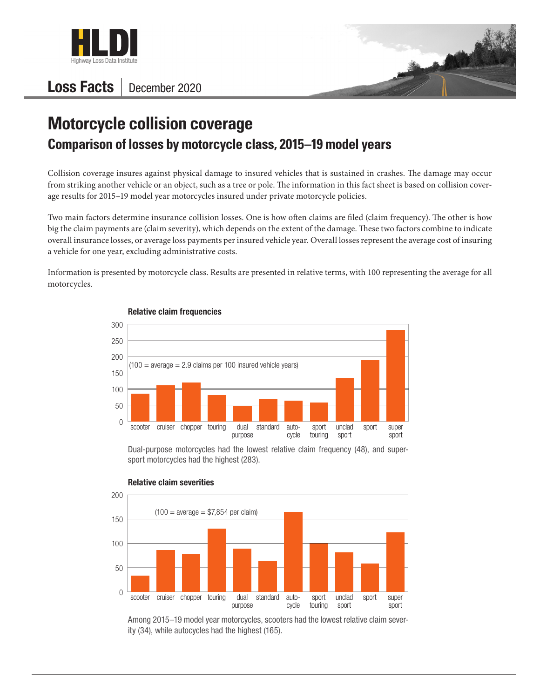

## Loss Facts | December 2020



## **Motorcycle collision coverage Comparison of losses by motorcycle class, 2015–19 model years**

Collision coverage insures against physical damage to insured vehicles that is sustained in crashes. The damage may occur from striking another vehicle or an object, such as a tree or pole. The information in this fact sheet is based on collision coverage results for 2015–19 model year motorcycles insured under private motorcycle policies.

Two main factors determine insurance collision losses. One is how often claims are filed (claim frequency). The other is how big the claim payments are (claim severity), which depends on the extent of the damage. These two factors combine to indicate overall insurance losses, or average loss payments per insured vehicle year. Overall losses represent the average cost of insuring a vehicle for one year, excluding administrative costs.

Information is presented by motorcycle class. Results are presented in relative terms, with 100 representing the average for all motorcycles.



## Relative claim frequencies

Dual-purpose motorcycles had the lowest relative claim frequency (48), and supersport motorcycles had the highest (283).



## Relative claim severities

Among 2015–19 model year motorcycles, scooters had the lowest relative claim severity (34), while autocycles had the highest (165).